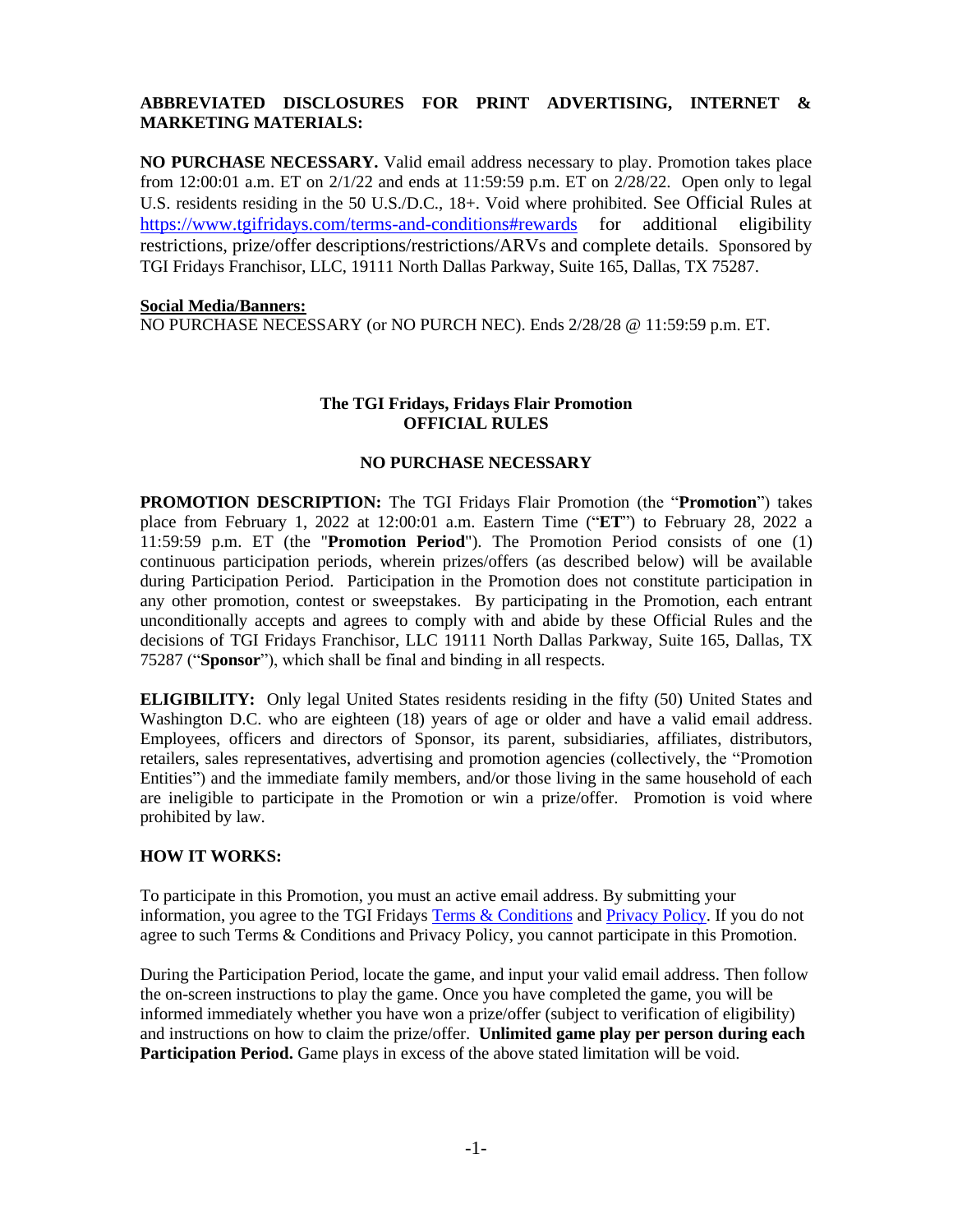## **ABBREVIATED DISCLOSURES FOR PRINT ADVERTISING, INTERNET & MARKETING MATERIALS:**

**NO PURCHASE NECESSARY.** Valid email address necessary to play. Promotion takes place from 12:00:01 a.m. ET on 2/1/22 and ends at 11:59:59 p.m. ET on 2/28/22. Open only to legal U.S. residents residing in the 50 U.S./D.C., 18+. Void where prohibited. See Official Rules at <https://www.tgifridays.com/terms-and-conditions#rewards> for additional eligibility restrictions, prize/offer descriptions/restrictions/ARVs and complete details. Sponsored by TGI Fridays Franchisor, LLC, 19111 North Dallas Parkway, Suite 165, Dallas, TX 75287.

#### **Social Media/Banners:**

NO PURCHASE NECESSARY (or NO PURCH NEC). Ends 2/28/28 @ 11:59:59 p.m. ET.

# **The TGI Fridays, Fridays Flair Promotion OFFICIAL RULES**

### **NO PURCHASE NECESSARY**

**PROMOTION DESCRIPTION:** The TGI Fridays Flair Promotion (the "**Promotion**") takes place from February 1, 2022 at 12:00:01 a.m. Eastern Time ("**ET**") to February 28, 2022 a 11:59:59 p.m. ET (the "**Promotion Period**"). The Promotion Period consists of one (1) continuous participation periods, wherein prizes/offers (as described below) will be available during Participation Period. Participation in the Promotion does not constitute participation in any other promotion, contest or sweepstakes. By participating in the Promotion, each entrant unconditionally accepts and agrees to comply with and abide by these Official Rules and the decisions of TGI Fridays Franchisor, LLC 19111 North Dallas Parkway, Suite 165, Dallas, TX 75287 ("**Sponsor**"), which shall be final and binding in all respects.

**ELIGIBILITY:** Only legal United States residents residing in the fifty (50) United States and Washington D.C. who are eighteen (18) years of age or older and have a valid email address. Employees, officers and directors of Sponsor, its parent, subsidiaries, affiliates, distributors, retailers, sales representatives, advertising and promotion agencies (collectively, the "Promotion Entities") and the immediate family members, and/or those living in the same household of each are ineligible to participate in the Promotion or win a prize/offer. Promotion is void where prohibited by law.

## **HOW IT WORKS:**

To participate in this Promotion, you must an active email address. By submitting your information, you agree to the TGI Fridays Terms [& Conditions](https://www.tgifridays.com/terms-and-conditions) and [Privacy Policy.](https://www.tgifridays.com/privacy) If you do not agree to such Terms & Conditions and Privacy Policy, you cannot participate in this Promotion.

During the Participation Period, locate the game, and input your valid email address. Then follow the on-screen instructions to play the game. Once you have completed the game, you will be informed immediately whether you have won a prize/offer (subject to verification of eligibility) and instructions on how to claim the prize/offer. **Unlimited game play per person during each Participation Period.** Game plays in excess of the above stated limitation will be void.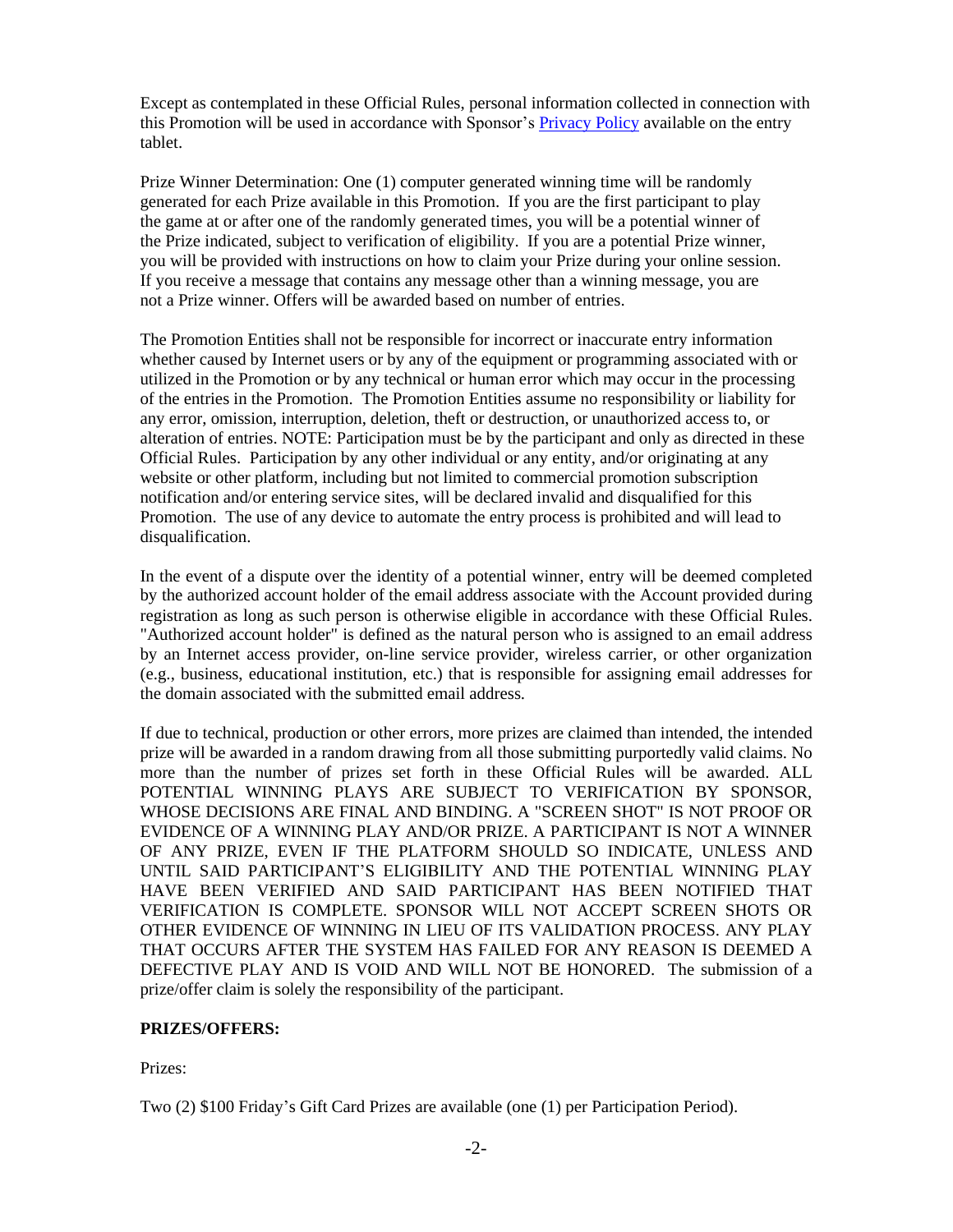Except as contemplated in these Official Rules, personal information collected in connection with this Promotion will be used in accordance with Sponsor's [Privacy Policy](https://www.tgifridays.com/privacy) available on the entry tablet.

Prize Winner Determination: One (1) computer generated winning time will be randomly generated for each Prize available in this Promotion. If you are the first participant to play the game at or after one of the randomly generated times, you will be a potential winner of the Prize indicated, subject to verification of eligibility. If you are a potential Prize winner, you will be provided with instructions on how to claim your Prize during your online session. If you receive a message that contains any message other than a winning message, you are not a Prize winner. Offers will be awarded based on number of entries.

The Promotion Entities shall not be responsible for incorrect or inaccurate entry information whether caused by Internet users or by any of the equipment or programming associated with or utilized in the Promotion or by any technical or human error which may occur in the processing of the entries in the Promotion. The Promotion Entities assume no responsibility or liability for any error, omission, interruption, deletion, theft or destruction, or unauthorized access to, or alteration of entries. NOTE: Participation must be by the participant and only as directed in these Official Rules. Participation by any other individual or any entity, and/or originating at any website or other platform, including but not limited to commercial promotion subscription notification and/or entering service sites, will be declared invalid and disqualified for this Promotion. The use of any device to automate the entry process is prohibited and will lead to disqualification.

In the event of a dispute over the identity of a potential winner, entry will be deemed completed by the authorized account holder of the email address associate with the Account provided during registration as long as such person is otherwise eligible in accordance with these Official Rules. "Authorized account holder" is defined as the natural person who is assigned to an email address by an Internet access provider, on-line service provider, wireless carrier, or other organization (e.g., business, educational institution, etc.) that is responsible for assigning email addresses for the domain associated with the submitted email address.

If due to technical, production or other errors, more prizes are claimed than intended, the intended prize will be awarded in a random drawing from all those submitting purportedly valid claims. No more than the number of prizes set forth in these Official Rules will be awarded. ALL POTENTIAL WINNING PLAYS ARE SUBJECT TO VERIFICATION BY SPONSOR, WHOSE DECISIONS ARE FINAL AND BINDING. A "SCREEN SHOT" IS NOT PROOF OR EVIDENCE OF A WINNING PLAY AND/OR PRIZE. A PARTICIPANT IS NOT A WINNER OF ANY PRIZE, EVEN IF THE PLATFORM SHOULD SO INDICATE, UNLESS AND UNTIL SAID PARTICIPANT'S ELIGIBILITY AND THE POTENTIAL WINNING PLAY HAVE BEEN VERIFIED AND SAID PARTICIPANT HAS BEEN NOTIFIED THAT VERIFICATION IS COMPLETE. SPONSOR WILL NOT ACCEPT SCREEN SHOTS OR OTHER EVIDENCE OF WINNING IN LIEU OF ITS VALIDATION PROCESS. ANY PLAY THAT OCCURS AFTER THE SYSTEM HAS FAILED FOR ANY REASON IS DEEMED A DEFECTIVE PLAY AND IS VOID AND WILL NOT BE HONORED. The submission of a prize/offer claim is solely the responsibility of the participant.

## **PRIZES/OFFERS:**

Prizes:

Two (2) \$100 Friday's Gift Card Prizes are available (one (1) per Participation Period).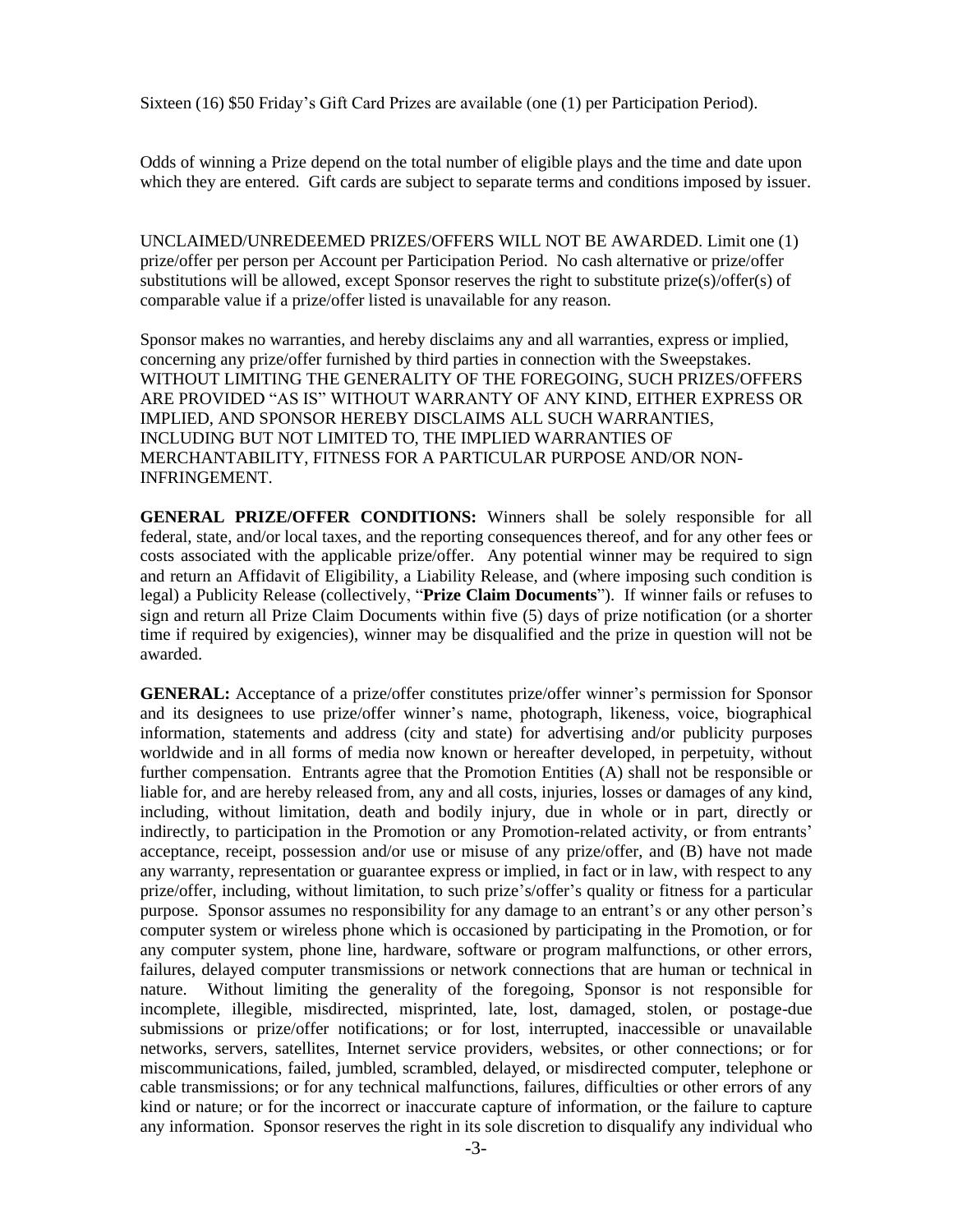Sixteen (16) \$50 Friday's Gift Card Prizes are available (one (1) per Participation Period).

Odds of winning a Prize depend on the total number of eligible plays and the time and date upon which they are entered. Gift cards are subject to separate terms and conditions imposed by issuer.

UNCLAIMED/UNREDEEMED PRIZES/OFFERS WILL NOT BE AWARDED. Limit one (1) prize/offer per person per Account per Participation Period. No cash alternative or prize/offer substitutions will be allowed, except Sponsor reserves the right to substitute prize(s)/offer(s) of comparable value if a prize/offer listed is unavailable for any reason.

Sponsor makes no warranties, and hereby disclaims any and all warranties, express or implied, concerning any prize/offer furnished by third parties in connection with the Sweepstakes. WITHOUT LIMITING THE GENERALITY OF THE FOREGOING, SUCH PRIZES/OFFERS ARE PROVIDED "AS IS" WITHOUT WARRANTY OF ANY KIND, EITHER EXPRESS OR IMPLIED, AND SPONSOR HEREBY DISCLAIMS ALL SUCH WARRANTIES, INCLUDING BUT NOT LIMITED TO, THE IMPLIED WARRANTIES OF MERCHANTABILITY, FITNESS FOR A PARTICULAR PURPOSE AND/OR NON-INFRINGEMENT.

**GENERAL PRIZE/OFFER CONDITIONS:** Winners shall be solely responsible for all federal, state, and/or local taxes, and the reporting consequences thereof, and for any other fees or costs associated with the applicable prize/offer. Any potential winner may be required to sign and return an Affidavit of Eligibility, a Liability Release, and (where imposing such condition is legal) a Publicity Release (collectively, "**Prize Claim Documents**"). If winner fails or refuses to sign and return all Prize Claim Documents within five (5) days of prize notification (or a shorter time if required by exigencies), winner may be disqualified and the prize in question will not be awarded.

**GENERAL:** Acceptance of a prize/offer constitutes prize/offer winner's permission for Sponsor and its designees to use prize/offer winner's name, photograph, likeness, voice, biographical information, statements and address (city and state) for advertising and/or publicity purposes worldwide and in all forms of media now known or hereafter developed, in perpetuity, without further compensation. Entrants agree that the Promotion Entities (A) shall not be responsible or liable for, and are hereby released from, any and all costs, injuries, losses or damages of any kind, including, without limitation, death and bodily injury, due in whole or in part, directly or indirectly, to participation in the Promotion or any Promotion-related activity, or from entrants' acceptance, receipt, possession and/or use or misuse of any prize/offer, and (B) have not made any warranty, representation or guarantee express or implied, in fact or in law, with respect to any prize/offer, including, without limitation, to such prize's/offer's quality or fitness for a particular purpose. Sponsor assumes no responsibility for any damage to an entrant's or any other person's computer system or wireless phone which is occasioned by participating in the Promotion, or for any computer system, phone line, hardware, software or program malfunctions, or other errors, failures, delayed computer transmissions or network connections that are human or technical in nature. Without limiting the generality of the foregoing, Sponsor is not responsible for incomplete, illegible, misdirected, misprinted, late, lost, damaged, stolen, or postage-due submissions or prize/offer notifications; or for lost, interrupted, inaccessible or unavailable networks, servers, satellites, Internet service providers, websites, or other connections; or for miscommunications, failed, jumbled, scrambled, delayed, or misdirected computer, telephone or cable transmissions; or for any technical malfunctions, failures, difficulties or other errors of any kind or nature; or for the incorrect or inaccurate capture of information, or the failure to capture any information. Sponsor reserves the right in its sole discretion to disqualify any individual who